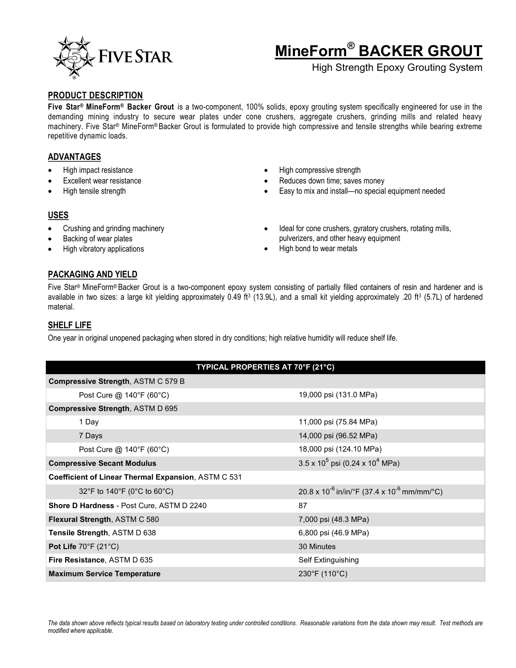

# **MineForm® BACKER GROUT**

High Strength Epoxy Grouting System

#### **PRODUCT DESCRIPTION**

**Five Star® MineForm® Backer Grout** is a two-component, 100% solids, epoxy grouting system specifically engineered for use in the demanding mining industry to secure wear plates under cone crushers, aggregate crushers, grinding mills and related heavy machinery. Five Star® MineForm® Backer Grout is formulated to provide high compressive and tensile strengths while bearing extreme repetitive dynamic loads.

## **ADVANTAGES**

- High impact resistance
- Excellent wear resistance
- High tensile strength
- High compressive strength
- Reduces down time; saves money
- Easy to mix and install—no special equipment needed

## **USES**

- Crushing and grinding machinery
- Backing of wear plates
- High vibratory applications
- Ideal for cone crushers, gyratory crushers, rotating mills, pulverizers, and other heavy equipment
- High bond to wear metals

# **PACKAGING AND YIELD**

Five Star® MineForm® Backer Grout is a two-component epoxy system consisting of partially filled containers of resin and hardener and is available in two sizes: a large kit yielding approximately 0.49 ft<sup>3</sup> (13.9L), and a small kit yielding approximately .20 ft<sup>3</sup> (5.7L) of hardened material.

# **SHELF LIFE**

One year in original unopened packaging when stored in dry conditions; high relative humidity will reduce shelf life.

| TYPICAL PROPERTIES AT 70°F (21°C)                   |                                                                   |  |  |
|-----------------------------------------------------|-------------------------------------------------------------------|--|--|
| Compressive Strength, ASTM C 579 B                  |                                                                   |  |  |
| Post Cure @ 140°F (60°C)                            | 19,000 psi (131.0 MPa)                                            |  |  |
| Compressive Strength, ASTM D 695                    |                                                                   |  |  |
| 1 Day                                               | 11,000 psi (75.84 MPa)                                            |  |  |
| 7 Days                                              | 14,000 psi (96.52 MPa)                                            |  |  |
| Post Cure @ 140°F (60°C)                            | 18,000 psi (124.10 MPa)                                           |  |  |
| <b>Compressive Secant Modulus</b>                   | $3.5 \times 10^5$ psi (0.24 x 10 <sup>4</sup> MPa)                |  |  |
| Coefficient of Linear Thermal Expansion, ASTM C 531 |                                                                   |  |  |
| 32°F to 140°F (0°C to 60°C)                         | $20.8 \times 10^{-6}$ in/in/°F (37.4 x 10 <sup>-6</sup> mm/mm/°C) |  |  |
| <b>Shore D Hardness - Post Cure, ASTM D 2240</b>    | 87                                                                |  |  |
| Flexural Strength, ASTM C 580                       | 7,000 psi (48.3 MPa)                                              |  |  |
| Tensile Strength, ASTM D 638                        | 6,800 psi (46.9 MPa)                                              |  |  |
| Pot Life $70^{\circ}$ F (21 $^{\circ}$ C)           | 30 Minutes                                                        |  |  |
| Fire Resistance, ASTM D 635                         | Self Extinguishing                                                |  |  |
| <b>Maximum Service Temperature</b>                  | $230^{\circ}$ F (110 $^{\circ}$ C)                                |  |  |

*The data shown above reflects typical results based on laboratory testing under controlled conditions. Reasonable variations from the data shown may result. Test methods are modified where applicable.*